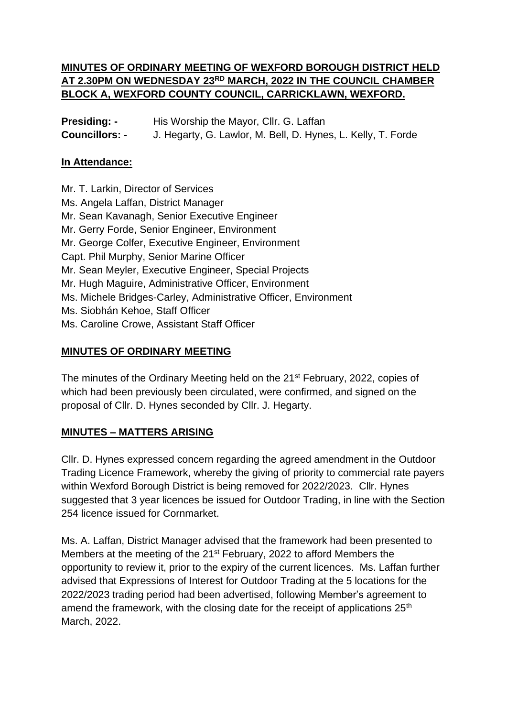## **MINUTES OF ORDINARY MEETING OF WEXFORD BOROUGH DISTRICT HELD AT 2.30PM ON WEDNESDAY 23RD MARCH, 2022 IN THE COUNCIL CHAMBER BLOCK A, WEXFORD COUNTY COUNCIL, CARRICKLAWN, WEXFORD.**

| <b>Presiding: -</b>   | His Worship the Mayor, Cllr. G. Laffan                       |
|-----------------------|--------------------------------------------------------------|
| <b>Councillors: -</b> | J. Hegarty, G. Lawlor, M. Bell, D. Hynes, L. Kelly, T. Forde |

#### **In Attendance:**

Mr. T. Larkin, Director of Services Ms. Angela Laffan, District Manager Mr. Sean Kavanagh, Senior Executive Engineer Mr. Gerry Forde, Senior Engineer, Environment Mr. George Colfer, Executive Engineer, Environment Capt. Phil Murphy, Senior Marine Officer Mr. Sean Meyler, Executive Engineer, Special Projects Mr. Hugh Maguire, Administrative Officer, Environment Ms. Michele Bridges-Carley, Administrative Officer, Environment Ms. Siobhán Kehoe, Staff Officer Ms. Caroline Crowe, Assistant Staff Officer

### **MINUTES OF ORDINARY MEETING**

The minutes of the Ordinary Meeting held on the 21<sup>st</sup> February, 2022, copies of which had been previously been circulated, were confirmed, and signed on the proposal of Cllr. D. Hynes seconded by Cllr. J. Hegarty.

### **MINUTES – MATTERS ARISING**

Cllr. D. Hynes expressed concern regarding the agreed amendment in the Outdoor Trading Licence Framework, whereby the giving of priority to commercial rate payers within Wexford Borough District is being removed for 2022/2023. Cllr. Hynes suggested that 3 year licences be issued for Outdoor Trading, in line with the Section 254 licence issued for Cornmarket.

Ms. A. Laffan, District Manager advised that the framework had been presented to Members at the meeting of the 21<sup>st</sup> February, 2022 to afford Members the opportunity to review it, prior to the expiry of the current licences. Ms. Laffan further advised that Expressions of Interest for Outdoor Trading at the 5 locations for the 2022/2023 trading period had been advertised, following Member's agreement to amend the framework, with the closing date for the receipt of applications 25<sup>th</sup> March, 2022.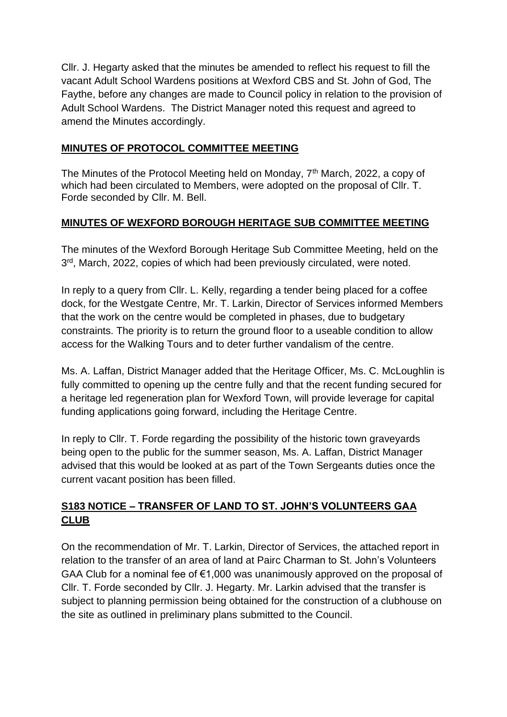Cllr. J. Hegarty asked that the minutes be amended to reflect his request to fill the vacant Adult School Wardens positions at Wexford CBS and St. John of God, The Faythe, before any changes are made to Council policy in relation to the provision of Adult School Wardens. The District Manager noted this request and agreed to amend the Minutes accordingly.

### **MINUTES OF PROTOCOL COMMITTEE MEETING**

The Minutes of the Protocol Meeting held on Monday, 7<sup>th</sup> March, 2022, a copy of which had been circulated to Members, were adopted on the proposal of Cllr. T. Forde seconded by Cllr. M. Bell.

### **MINUTES OF WEXFORD BOROUGH HERITAGE SUB COMMITTEE MEETING**

The minutes of the Wexford Borough Heritage Sub Committee Meeting, held on the 3<sup>rd</sup>, March, 2022, copies of which had been previously circulated, were noted.

In reply to a query from Cllr. L. Kelly, regarding a tender being placed for a coffee dock, for the Westgate Centre, Mr. T. Larkin, Director of Services informed Members that the work on the centre would be completed in phases, due to budgetary constraints. The priority is to return the ground floor to a useable condition to allow access for the Walking Tours and to deter further vandalism of the centre.

Ms. A. Laffan, District Manager added that the Heritage Officer, Ms. C. McLoughlin is fully committed to opening up the centre fully and that the recent funding secured for a heritage led regeneration plan for Wexford Town, will provide leverage for capital funding applications going forward, including the Heritage Centre.

In reply to Cllr. T. Forde regarding the possibility of the historic town graveyards being open to the public for the summer season, Ms. A. Laffan, District Manager advised that this would be looked at as part of the Town Sergeants duties once the current vacant position has been filled.

## **S183 NOTICE – TRANSFER OF LAND TO ST. JOHN'S VOLUNTEERS GAA CLUB**

On the recommendation of Mr. T. Larkin, Director of Services, the attached report in relation to the transfer of an area of land at Pairc Charman to St. John's Volunteers GAA Club for a nominal fee of €1,000 was unanimously approved on the proposal of Cllr. T. Forde seconded by Cllr. J. Hegarty. Mr. Larkin advised that the transfer is subject to planning permission being obtained for the construction of a clubhouse on the site as outlined in preliminary plans submitted to the Council.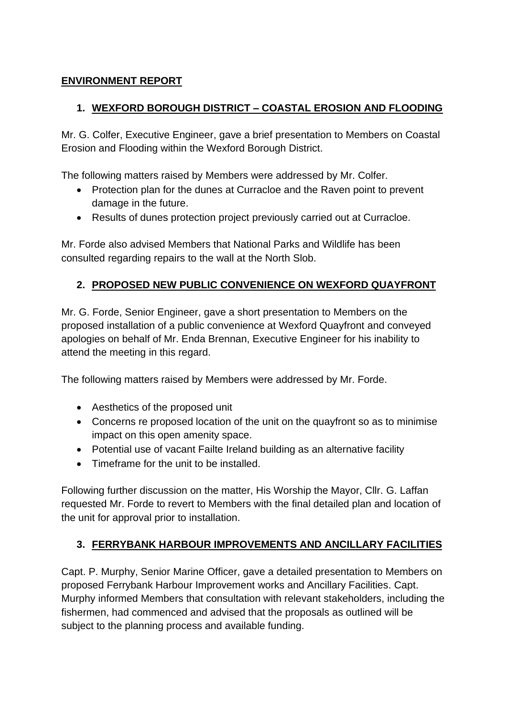## **ENVIRONMENT REPORT**

## **1. WEXFORD BOROUGH DISTRICT – COASTAL EROSION AND FLOODING**

Mr. G. Colfer, Executive Engineer, gave a brief presentation to Members on Coastal Erosion and Flooding within the Wexford Borough District.

The following matters raised by Members were addressed by Mr. Colfer.

- Protection plan for the dunes at Curracloe and the Raven point to prevent damage in the future.
- Results of dunes protection project previously carried out at Curracloe.

Mr. Forde also advised Members that National Parks and Wildlife has been consulted regarding repairs to the wall at the North Slob.

## **2. PROPOSED NEW PUBLIC CONVENIENCE ON WEXFORD QUAYFRONT**

Mr. G. Forde, Senior Engineer, gave a short presentation to Members on the proposed installation of a public convenience at Wexford Quayfront and conveyed apologies on behalf of Mr. Enda Brennan, Executive Engineer for his inability to attend the meeting in this regard.

The following matters raised by Members were addressed by Mr. Forde.

- Aesthetics of the proposed unit
- Concerns re proposed location of the unit on the quayfront so as to minimise impact on this open amenity space.
- Potential use of vacant Failte Ireland building as an alternative facility
- Timeframe for the unit to be installed.

Following further discussion on the matter, His Worship the Mayor, Cllr. G. Laffan requested Mr. Forde to revert to Members with the final detailed plan and location of the unit for approval prior to installation.

# **3. FERRYBANK HARBOUR IMPROVEMENTS AND ANCILLARY FACILITIES**

Capt. P. Murphy, Senior Marine Officer, gave a detailed presentation to Members on proposed Ferrybank Harbour Improvement works and Ancillary Facilities. Capt. Murphy informed Members that consultation with relevant stakeholders, including the fishermen, had commenced and advised that the proposals as outlined will be subject to the planning process and available funding.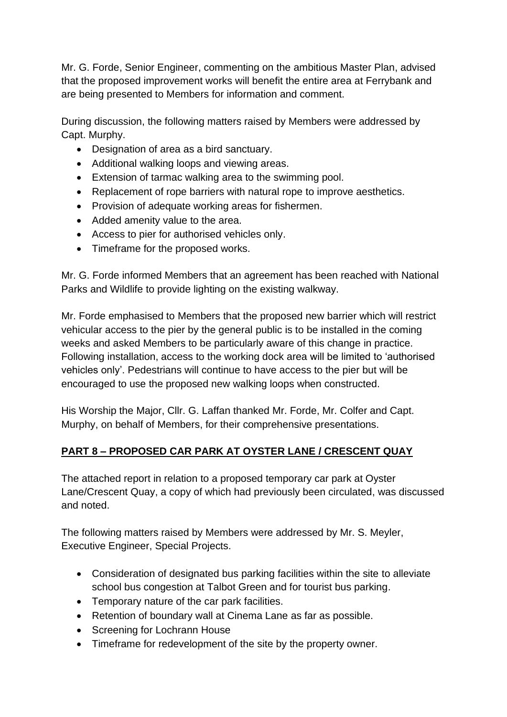Mr. G. Forde, Senior Engineer, commenting on the ambitious Master Plan, advised that the proposed improvement works will benefit the entire area at Ferrybank and are being presented to Members for information and comment.

During discussion, the following matters raised by Members were addressed by Capt. Murphy.

- Designation of area as a bird sanctuary.
- Additional walking loops and viewing areas.
- Extension of tarmac walking area to the swimming pool.
- Replacement of rope barriers with natural rope to improve aesthetics.
- Provision of adequate working areas for fishermen.
- Added amenity value to the area.
- Access to pier for authorised vehicles only.
- Timeframe for the proposed works.

Mr. G. Forde informed Members that an agreement has been reached with National Parks and Wildlife to provide lighting on the existing walkway.

Mr. Forde emphasised to Members that the proposed new barrier which will restrict vehicular access to the pier by the general public is to be installed in the coming weeks and asked Members to be particularly aware of this change in practice. Following installation, access to the working dock area will be limited to 'authorised vehicles only'. Pedestrians will continue to have access to the pier but will be encouraged to use the proposed new walking loops when constructed.

His Worship the Major, Cllr. G. Laffan thanked Mr. Forde, Mr. Colfer and Capt. Murphy, on behalf of Members, for their comprehensive presentations.

# **PART 8 – PROPOSED CAR PARK AT OYSTER LANE / CRESCENT QUAY**

The attached report in relation to a proposed temporary car park at Oyster Lane/Crescent Quay, a copy of which had previously been circulated, was discussed and noted.

The following matters raised by Members were addressed by Mr. S. Meyler, Executive Engineer, Special Projects.

- Consideration of designated bus parking facilities within the site to alleviate school bus congestion at Talbot Green and for tourist bus parking.
- Temporary nature of the car park facilities.
- Retention of boundary wall at Cinema Lane as far as possible.
- Screening for Lochrann House
- Timeframe for redevelopment of the site by the property owner.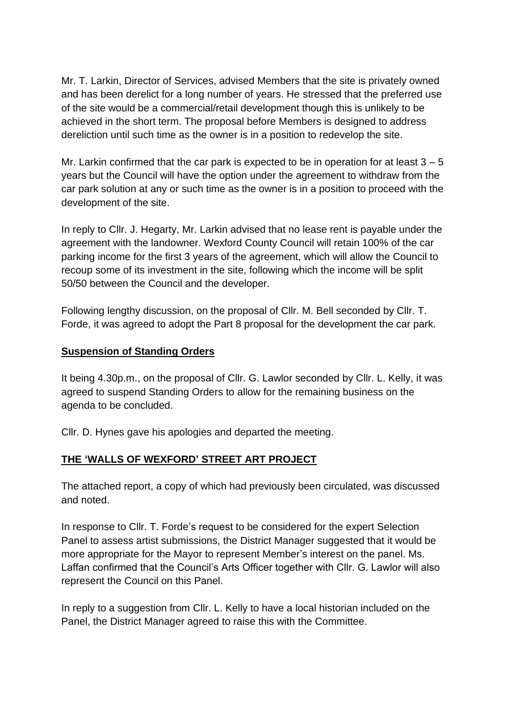Mr. T. Larkin, Director of Services, advised Members that the site is privately owned and has been derelict for a long number of years. He stressed that the preferred use of the site would be a commercial/retail development though this is unlikely to be achieved in the short term. The proposal before Members is designed to address dereliction until such time as the owner is in a position to redevelop the site.

Mr. Larkin confirmed that the car park is expected to be in operation for at least  $3 - 5$ years but the Council will have the option under the agreement to withdraw from the car park solution at any or such time as the owner is in a position to proceed with the development of the site.

In reply to Cllr. J. Hegarty, Mr. Larkin advised that no lease rent is payable under the agreement with the landowner. Wexford County Council will retain 100% of the car parking income for the first 3 years of the agreement, which will allow the Council to recoup some of its investment in the site, following which the income will be split 50/50 between the Council and the developer.

Following lengthy discussion, on the proposal of Cllr. M. Bell seconded by Cllr. T. Forde, it was agreed to adopt the Part 8 proposal for the development the car park.

#### **Suspension of Standing Orders**

It being 4.30p.m., on the proposal of Cllr. G. Lawlor seconded by Cllr. L. Kelly, it was agreed to suspend Standing Orders to allow for the remaining business on the agenda to be concluded.

Cllr. D. Hynes gave his apologies and departed the meeting.

## **THE 'WALLS OF WEXFORD' STREET ART PROJECT**

The attached report, a copy of which had previously been circulated, was discussed and noted.

In response to Cllr. T. Forde's request to be considered for the expert Selection Panel to assess artist submissions, the District Manager suggested that it would be more appropriate for the Mayor to represent Member's interest on the panel. Ms. Laffan confirmed that the Council's Arts Officer together with Cllr. G. Lawlor will also represent the Council on this Panel.

In reply to a suggestion from Cllr. L. Kelly to have a local historian included on the Panel, the District Manager agreed to raise this with the Committee.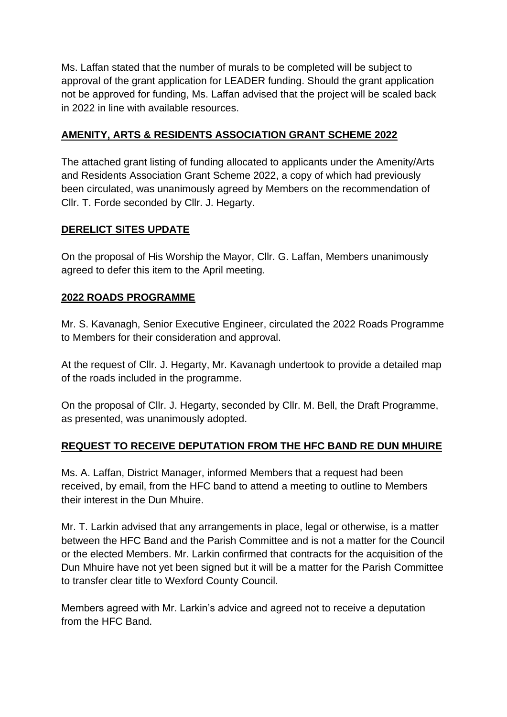Ms. Laffan stated that the number of murals to be completed will be subject to approval of the grant application for LEADER funding. Should the grant application not be approved for funding, Ms. Laffan advised that the project will be scaled back in 2022 in line with available resources.

### **AMENITY, ARTS & RESIDENTS ASSOCIATION GRANT SCHEME 2022**

The attached grant listing of funding allocated to applicants under the Amenity/Arts and Residents Association Grant Scheme 2022, a copy of which had previously been circulated, was unanimously agreed by Members on the recommendation of Cllr. T. Forde seconded by Cllr. J. Hegarty.

### **DERELICT SITES UPDATE**

On the proposal of His Worship the Mayor, Cllr. G. Laffan, Members unanimously agreed to defer this item to the April meeting.

### **2022 ROADS PROGRAMME**

Mr. S. Kavanagh, Senior Executive Engineer, circulated the 2022 Roads Programme to Members for their consideration and approval.

At the request of Cllr. J. Hegarty, Mr. Kavanagh undertook to provide a detailed map of the roads included in the programme.

On the proposal of Cllr. J. Hegarty, seconded by Cllr. M. Bell, the Draft Programme, as presented, was unanimously adopted.

## **REQUEST TO RECEIVE DEPUTATION FROM THE HFC BAND RE DUN MHUIRE**

Ms. A. Laffan, District Manager, informed Members that a request had been received, by email, from the HFC band to attend a meeting to outline to Members their interest in the Dun Mhuire.

Mr. T. Larkin advised that any arrangements in place, legal or otherwise, is a matter between the HFC Band and the Parish Committee and is not a matter for the Council or the elected Members. Mr. Larkin confirmed that contracts for the acquisition of the Dun Mhuire have not yet been signed but it will be a matter for the Parish Committee to transfer clear title to Wexford County Council.

Members agreed with Mr. Larkin's advice and agreed not to receive a deputation from the HFC Band.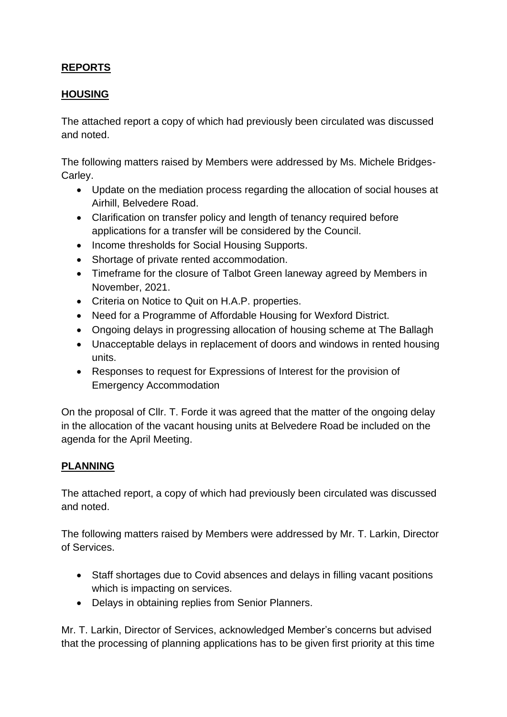## **REPORTS**

### **HOUSING**

The attached report a copy of which had previously been circulated was discussed and noted.

The following matters raised by Members were addressed by Ms. Michele Bridges-Carley.

- Update on the mediation process regarding the allocation of social houses at Airhill, Belvedere Road.
- Clarification on transfer policy and length of tenancy required before applications for a transfer will be considered by the Council.
- Income thresholds for Social Housing Supports.
- Shortage of private rented accommodation.
- Timeframe for the closure of Talbot Green laneway agreed by Members in November, 2021.
- Criteria on Notice to Quit on H.A.P. properties.
- Need for a Programme of Affordable Housing for Wexford District.
- Ongoing delays in progressing allocation of housing scheme at The Ballagh
- Unacceptable delays in replacement of doors and windows in rented housing units.
- Responses to request for Expressions of Interest for the provision of Emergency Accommodation

On the proposal of Cllr. T. Forde it was agreed that the matter of the ongoing delay in the allocation of the vacant housing units at Belvedere Road be included on the agenda for the April Meeting.

## **PLANNING**

The attached report, a copy of which had previously been circulated was discussed and noted.

The following matters raised by Members were addressed by Mr. T. Larkin, Director of Services.

- Staff shortages due to Covid absences and delays in filling vacant positions which is impacting on services.
- Delays in obtaining replies from Senior Planners.

Mr. T. Larkin, Director of Services, acknowledged Member's concerns but advised that the processing of planning applications has to be given first priority at this time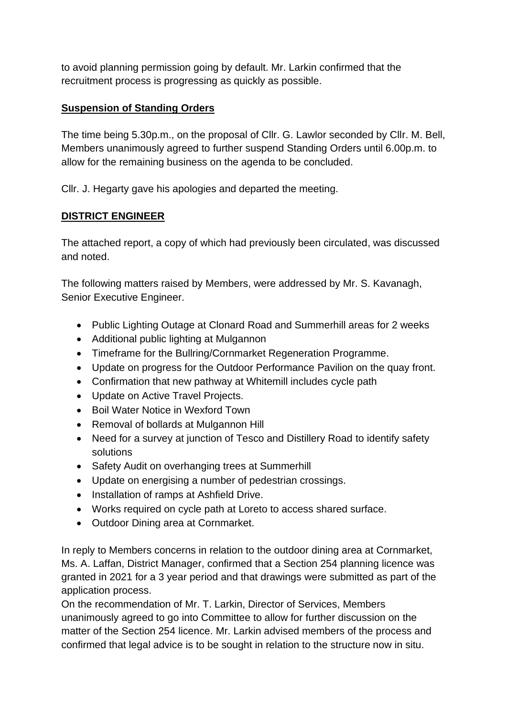to avoid planning permission going by default. Mr. Larkin confirmed that the recruitment process is progressing as quickly as possible.

## **Suspension of Standing Orders**

The time being 5.30p.m., on the proposal of Cllr. G. Lawlor seconded by Cllr. M. Bell, Members unanimously agreed to further suspend Standing Orders until 6.00p.m. to allow for the remaining business on the agenda to be concluded.

Cllr. J. Hegarty gave his apologies and departed the meeting.

## **DISTRICT ENGINEER**

The attached report, a copy of which had previously been circulated, was discussed and noted.

The following matters raised by Members, were addressed by Mr. S. Kavanagh, Senior Executive Engineer.

- Public Lighting Outage at Clonard Road and Summerhill areas for 2 weeks
- Additional public lighting at Mulgannon
- Timeframe for the Bullring/Cornmarket Regeneration Programme.
- Update on progress for the Outdoor Performance Pavilion on the quay front.
- Confirmation that new pathway at Whitemill includes cycle path
- Update on Active Travel Projects.
- Boil Water Notice in Wexford Town
- Removal of bollards at Mulgannon Hill
- Need for a survey at junction of Tesco and Distillery Road to identify safety solutions
- Safety Audit on overhanging trees at Summerhill
- Update on energising a number of pedestrian crossings.
- Installation of ramps at Ashfield Drive.
- Works required on cycle path at Loreto to access shared surface.
- Outdoor Dining area at Cornmarket.

In reply to Members concerns in relation to the outdoor dining area at Cornmarket, Ms. A. Laffan, District Manager, confirmed that a Section 254 planning licence was granted in 2021 for a 3 year period and that drawings were submitted as part of the application process.

On the recommendation of Mr. T. Larkin, Director of Services, Members unanimously agreed to go into Committee to allow for further discussion on the matter of the Section 254 licence. Mr. Larkin advised members of the process and confirmed that legal advice is to be sought in relation to the structure now in situ.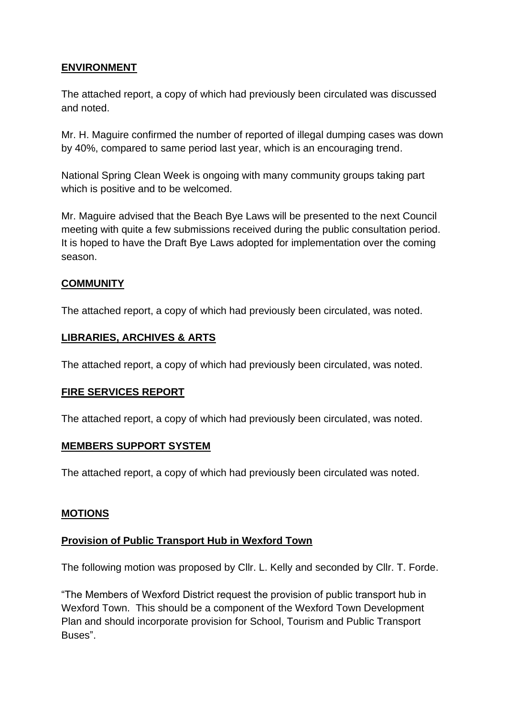## **ENVIRONMENT**

The attached report, a copy of which had previously been circulated was discussed and noted.

Mr. H. Maguire confirmed the number of reported of illegal dumping cases was down by 40%, compared to same period last year, which is an encouraging trend.

National Spring Clean Week is ongoing with many community groups taking part which is positive and to be welcomed.

Mr. Maguire advised that the Beach Bye Laws will be presented to the next Council meeting with quite a few submissions received during the public consultation period. It is hoped to have the Draft Bye Laws adopted for implementation over the coming season.

### **COMMUNITY**

The attached report, a copy of which had previously been circulated, was noted.

### **LIBRARIES, ARCHIVES & ARTS**

The attached report, a copy of which had previously been circulated, was noted.

### **FIRE SERVICES REPORT**

The attached report, a copy of which had previously been circulated, was noted.

### **MEMBERS SUPPORT SYSTEM**

The attached report, a copy of which had previously been circulated was noted.

#### **MOTIONS**

### **Provision of Public Transport Hub in Wexford Town**

The following motion was proposed by Cllr. L. Kelly and seconded by Cllr. T. Forde.

"The Members of Wexford District request the provision of public transport hub in Wexford Town. This should be a component of the Wexford Town Development Plan and should incorporate provision for School, Tourism and Public Transport Buses".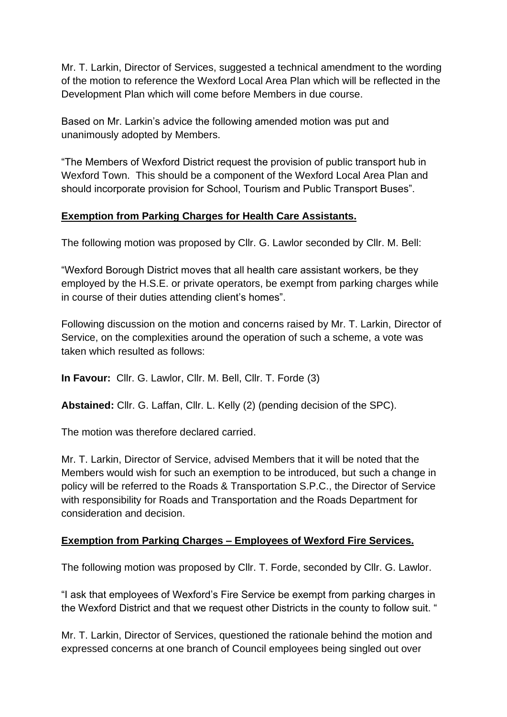Mr. T. Larkin, Director of Services, suggested a technical amendment to the wording of the motion to reference the Wexford Local Area Plan which will be reflected in the Development Plan which will come before Members in due course.

Based on Mr. Larkin's advice the following amended motion was put and unanimously adopted by Members.

"The Members of Wexford District request the provision of public transport hub in Wexford Town. This should be a component of the Wexford Local Area Plan and should incorporate provision for School, Tourism and Public Transport Buses".

### **Exemption from Parking Charges for Health Care Assistants.**

The following motion was proposed by Cllr. G. Lawlor seconded by Cllr. M. Bell:

"Wexford Borough District moves that all health care assistant workers, be they employed by the H.S.E. or private operators, be exempt from parking charges while in course of their duties attending client's homes".

Following discussion on the motion and concerns raised by Mr. T. Larkin, Director of Service, on the complexities around the operation of such a scheme, a vote was taken which resulted as follows:

**In Favour:** Cllr. G. Lawlor, Cllr. M. Bell, Cllr. T. Forde (3)

**Abstained:** Cllr. G. Laffan, Cllr. L. Kelly (2) (pending decision of the SPC).

The motion was therefore declared carried.

Mr. T. Larkin, Director of Service, advised Members that it will be noted that the Members would wish for such an exemption to be introduced, but such a change in policy will be referred to the Roads & Transportation S.P.C., the Director of Service with responsibility for Roads and Transportation and the Roads Department for consideration and decision.

## **Exemption from Parking Charges – Employees of Wexford Fire Services.**

The following motion was proposed by Cllr. T. Forde, seconded by Cllr. G. Lawlor.

"I ask that employees of Wexford's Fire Service be exempt from parking charges in the Wexford District and that we request other Districts in the county to follow suit. "

Mr. T. Larkin, Director of Services, questioned the rationale behind the motion and expressed concerns at one branch of Council employees being singled out over